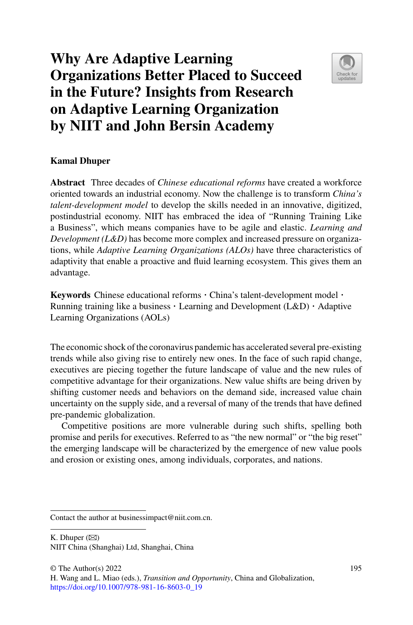# **Why Are Adaptive Learning Organizations Better Placed to Succeed in the Future? Insights from Research on Adaptive Learning Organization by NIIT and John Bersin Academy**



# **Kamal Dhuper**

**Abstract** Three decades of *Chinese educational reforms* have created a workforce oriented towards an industrial economy. Now the challenge is to transform *China's talent-development model* to develop the skills needed in an innovative, digitized, postindustrial economy. NIIT has embraced the idea of "Running Training Like a Business", which means companies have to be agile and elastic. *Learning and Development (L&D)* has become more complex and increased pressure on organizations, while *Adaptive Learning Organizations (ALOs)* have three characteristics of adaptivity that enable a proactive and fluid learning ecosystem. This gives them an advantage.

**Keywords** Chinese educational reforms  $\cdot$  China's talent-development model  $\cdot$  Running training like a business  $\cdot$  Learning and Development (L&D)  $\cdot$  Adaptive Learning Organizations (AOLs)

The economic shock of the coronavirus pandemic has accelerated several pre-existing trends while also giving rise to entirely new ones. In the face of such rapid change, executives are piecing together the future landscape of value and the new rules of competitive advantage for their organizations. New value shifts are being driven by shifting customer needs and behaviors on the demand side, increased value chain uncertainty on the supply side, and a reversal of many of the trends that have defined pre-pandemic globalization.

Competitive positions are more vulnerable during such shifts, spelling both promise and perils for executives. Referred to as "the new normal" or "the big reset" the emerging landscape will be characterized by the emergence of new value pools and erosion or existing ones, among individuals, corporates, and nations.

K. Dhuper  $(\boxtimes)$ NIIT China (Shanghai) Ltd, Shanghai, China

Contact the author at businessimpact@niit.com.cn.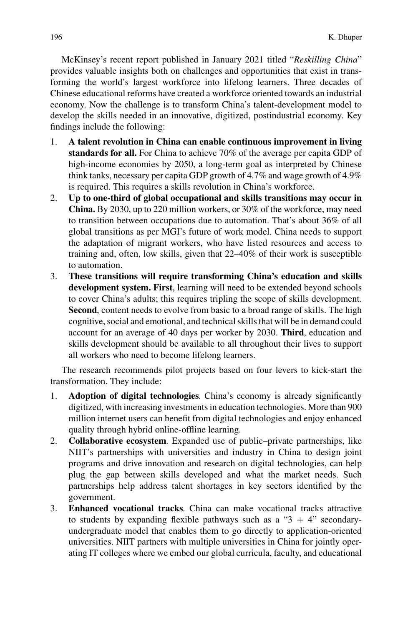McKinsey's recent report published in January 2021 titled "*Reskilling China*" provides valuable insights both on challenges and opportunities that exist in transforming the world's largest workforce into lifelong learners. Three decades of Chinese educational reforms have created a workforce oriented towards an industrial economy. Now the challenge is to transform China's talent-development model to develop the skills needed in an innovative, digitized, postindustrial economy. Key findings include the following:

- 1. **A talent revolution in China can enable continuous improvement in living standards for all.** For China to achieve 70% of the average per capita GDP of high-income economies by 2050, a long-term goal as interpreted by Chinese think tanks, necessary per capita GDP growth of 4.7% and wage growth of 4.9% is required. This requires a skills revolution in China's workforce.
- 2. **Up to one-third of global occupational and skills transitions may occur in China.** By 2030, up to 220 million workers, or 30% of the workforce, may need to transition between occupations due to automation. That's about 36% of all global transitions as per MGI's future of work model. China needs to support the adaptation of migrant workers, who have listed resources and access to training and, often, low skills, given that 22–40% of their work is susceptible to automation.
- 3. **These transitions will require transforming China's education and skills development system. First**, learning will need to be extended beyond schools to cover China's adults; this requires tripling the scope of skills development. **Second**, content needs to evolve from basic to a broad range of skills. The high cognitive, social and emotional, and technical skills that will be in demand could account for an average of 40 days per worker by 2030. **Third**, education and skills development should be available to all throughout their lives to support all workers who need to become lifelong learners.

The research recommends pilot projects based on four levers to kick-start the transformation. They include:

- 1. **Adoption of digital technologies**. China's economy is already significantly digitized, with increasing investments in education technologies. More than 900 million internet users can benefit from digital technologies and enjoy enhanced quality through hybrid online-offline learning.
- 2. **Collaborative ecosystem**. Expanded use of public–private partnerships, like NIIT's partnerships with universities and industry in China to design joint programs and drive innovation and research on digital technologies, can help plug the gap between skills developed and what the market needs. Such partnerships help address talent shortages in key sectors identified by the government.
- 3. **Enhanced vocational tracks**. China can make vocational tracks attractive to students by expanding flexible pathways such as a " $3 + 4$ " secondaryundergraduate model that enables them to go directly to application-oriented universities. NIIT partners with multiple universities in China for jointly operating IT colleges where we embed our global curricula, faculty, and educational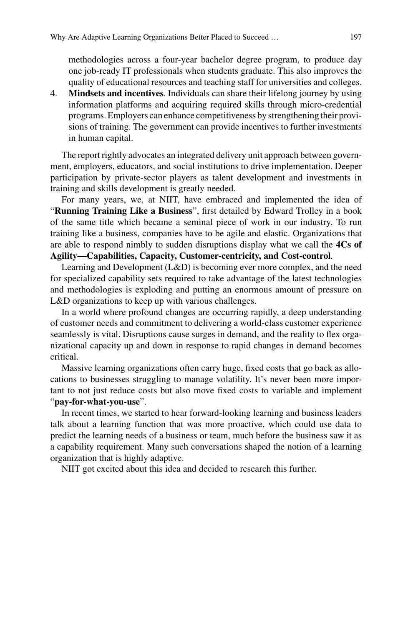methodologies across a four-year bachelor degree program, to produce day one job-ready IT professionals when students graduate. This also improves the quality of educational resources and teaching staff for universities and colleges.

4. **Mindsets and incentives**. Individuals can share their lifelong journey by using information platforms and acquiring required skills through micro-credential programs. Employers can enhance competitiveness by strengthening their provisions of training. The government can provide incentives to further investments in human capital.

The report rightly advocates an integrated delivery unit approach between government, employers, educators, and social institutions to drive implementation. Deeper participation by private-sector players as talent development and investments in training and skills development is greatly needed.

For many years, we, at NIIT, have embraced and implemented the idea of "**Running Training Like a Business**", first detailed by Edward Trolley in a book of the same title which became a seminal piece of work in our industry. To run training like a business, companies have to be agile and elastic. Organizations that are able to respond nimbly to sudden disruptions display what we call the **4Cs of Agility—Capabilities, Capacity, Customer-centricity, and Cost-control**.

Learning and Development (L&D) is becoming ever more complex, and the need for specialized capability sets required to take advantage of the latest technologies and methodologies is exploding and putting an enormous amount of pressure on L&D organizations to keep up with various challenges.

In a world where profound changes are occurring rapidly, a deep understanding of customer needs and commitment to delivering a world-class customer experience seamlessly is vital. Disruptions cause surges in demand, and the reality to flex organizational capacity up and down in response to rapid changes in demand becomes critical.

Massive learning organizations often carry huge, fixed costs that go back as allocations to businesses struggling to manage volatility. It's never been more important to not just reduce costs but also move fixed costs to variable and implement "**pay-for-what-you-use**".

In recent times, we started to hear forward-looking learning and business leaders talk about a learning function that was more proactive, which could use data to predict the learning needs of a business or team, much before the business saw it as a capability requirement. Many such conversations shaped the notion of a learning organization that is highly adaptive.

NIIT got excited about this idea and decided to research this further.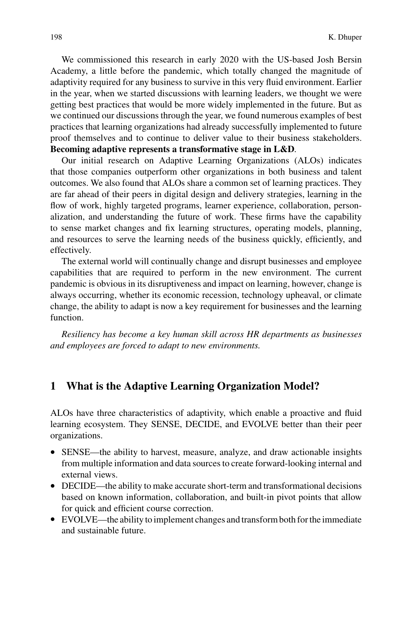We commissioned this research in early 2020 with the US-based Josh Bersin Academy, a little before the pandemic, which totally changed the magnitude of adaptivity required for any business to survive in this very fluid environment. Earlier in the year, when we started discussions with learning leaders, we thought we were getting best practices that would be more widely implemented in the future. But as we continued our discussions through the year, we found numerous examples of best practices that learning organizations had already successfully implemented to future proof themselves and to continue to deliver value to their business stakeholders. **Becoming adaptive represents a transformative stage in L&D**.

Our initial research on Adaptive Learning Organizations (ALOs) indicates that those companies outperform other organizations in both business and talent outcomes. We also found that ALOs share a common set of learning practices. They are far ahead of their peers in digital design and delivery strategies, learning in the flow of work, highly targeted programs, learner experience, collaboration, personalization, and understanding the future of work. These firms have the capability to sense market changes and fix learning structures, operating models, planning, and resources to serve the learning needs of the business quickly, efficiently, and effectively.

The external world will continually change and disrupt businesses and employee capabilities that are required to perform in the new environment. The current pandemic is obvious in its disruptiveness and impact on learning, however, change is always occurring, whether its economic recession, technology upheaval, or climate change, the ability to adapt is now a key requirement for businesses and the learning function.

*Resiliency has become a key human skill across HR departments as businesses and employees are forced to adapt to new environments.*

# **1 What is the Adaptive Learning Organization Model?**

ALOs have three characteristics of adaptivity, which enable a proactive and fluid learning ecosystem. They SENSE, DECIDE, and EVOLVE better than their peer organizations.

- SENSE—the ability to harvest, measure, analyze, and draw actionable insights from multiple information and data sources to create forward-looking internal and external views.
- DECIDE—the ability to make accurate short-term and transformational decisions based on known information, collaboration, and built-in pivot points that allow for quick and efficient course correction.
- EVOLVE—the ability to implement changes and transform both for the immediate and sustainable future.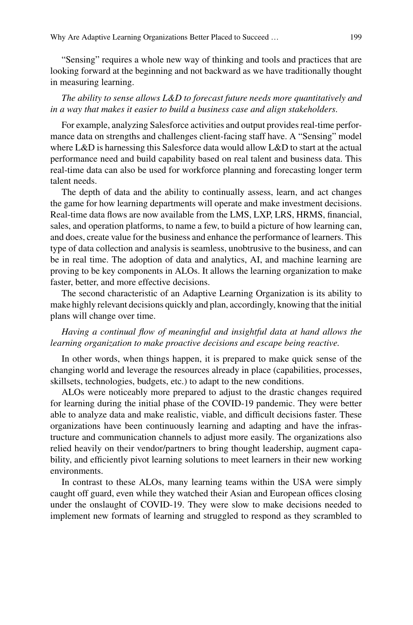"Sensing" requires a whole new way of thinking and tools and practices that are looking forward at the beginning and not backward as we have traditionally thought in measuring learning.

# *The ability to sense allows L&D to forecast future needs more quantitatively and in a way that makes it easier to build a business case and align stakeholders*.

For example, analyzing Salesforce activities and output provides real-time performance data on strengths and challenges client-facing staff have. A "Sensing" model where L&D is harnessing this Salesforce data would allow L&D to start at the actual performance need and build capability based on real talent and business data. This real-time data can also be used for workforce planning and forecasting longer term talent needs.

The depth of data and the ability to continually assess, learn, and act changes the game for how learning departments will operate and make investment decisions. Real-time data flows are now available from the LMS, LXP, LRS, HRMS, financial, sales, and operation platforms, to name a few, to build a picture of how learning can, and does, create value for the business and enhance the performance of learners. This type of data collection and analysis is seamless, unobtrusive to the business, and can be in real time. The adoption of data and analytics, AI, and machine learning are proving to be key components in ALOs. It allows the learning organization to make faster, better, and more effective decisions.

The second characteristic of an Adaptive Learning Organization is its ability to make highly relevant decisions quickly and plan, accordingly, knowing that the initial plans will change over time.

### *Having a continual flow of meaningful and insightful data at hand allows the learning organization to make proactive decisions and escape being reactive*.

In other words, when things happen, it is prepared to make quick sense of the changing world and leverage the resources already in place (capabilities, processes, skillsets, technologies, budgets, etc.) to adapt to the new conditions.

ALOs were noticeably more prepared to adjust to the drastic changes required for learning during the initial phase of the COVID-19 pandemic. They were better able to analyze data and make realistic, viable, and difficult decisions faster. These organizations have been continuously learning and adapting and have the infrastructure and communication channels to adjust more easily. The organizations also relied heavily on their vendor/partners to bring thought leadership, augment capability, and efficiently pivot learning solutions to meet learners in their new working environments.

In contrast to these ALOs, many learning teams within the USA were simply caught off guard, even while they watched their Asian and European offices closing under the onslaught of COVID-19. They were slow to make decisions needed to implement new formats of learning and struggled to respond as they scrambled to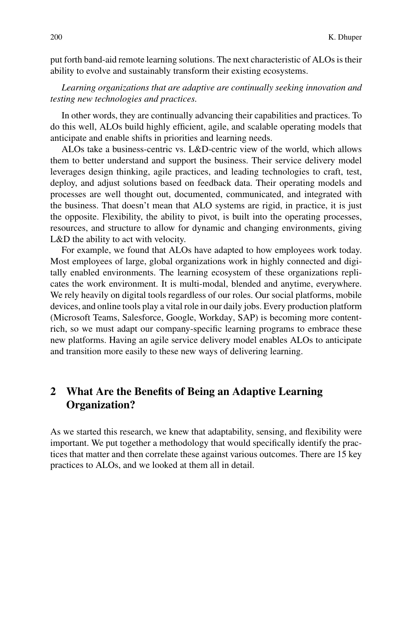put forth band-aid remote learning solutions. The next characteristic of ALOs is their ability to evolve and sustainably transform their existing ecosystems.

*Learning organizations that are adaptive are continually seeking innovation and testing new technologies and practices*.

In other words, they are continually advancing their capabilities and practices. To do this well, ALOs build highly efficient, agile, and scalable operating models that anticipate and enable shifts in priorities and learning needs.

ALOs take a business-centric vs. L&D-centric view of the world, which allows them to better understand and support the business. Their service delivery model leverages design thinking, agile practices, and leading technologies to craft, test, deploy, and adjust solutions based on feedback data. Their operating models and processes are well thought out, documented, communicated, and integrated with the business. That doesn't mean that ALO systems are rigid, in practice, it is just the opposite. Flexibility, the ability to pivot, is built into the operating processes, resources, and structure to allow for dynamic and changing environments, giving L&D the ability to act with velocity.

For example, we found that ALOs have adapted to how employees work today. Most employees of large, global organizations work in highly connected and digitally enabled environments. The learning ecosystem of these organizations replicates the work environment. It is multi-modal, blended and anytime, everywhere. We rely heavily on digital tools regardless of our roles. Our social platforms, mobile devices, and online tools play a vital role in our daily jobs. Every production platform (Microsoft Teams, Salesforce, Google, Workday, SAP) is becoming more contentrich, so we must adapt our company-specific learning programs to embrace these new platforms. Having an agile service delivery model enables ALOs to anticipate and transition more easily to these new ways of delivering learning.

# **2 What Are the Benefits of Being an Adaptive Learning Organization?**

As we started this research, we knew that adaptability, sensing, and flexibility were important. We put together a methodology that would specifically identify the practices that matter and then correlate these against various outcomes. There are 15 key practices to ALOs, and we looked at them all in detail.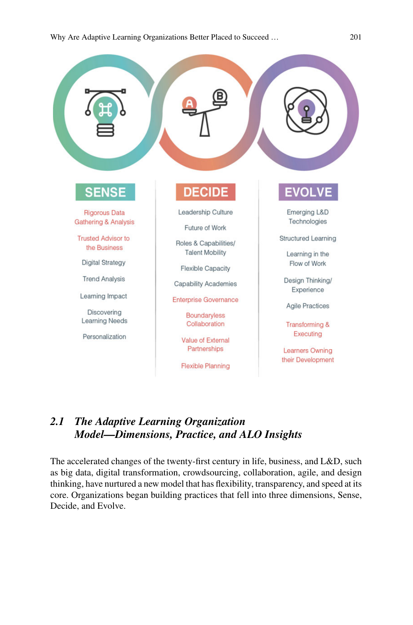

# *2.1 The Adaptive Learning Organization Model—Dimensions, Practice, and ALO Insights*

The accelerated changes of the twenty-first century in life, business, and L&D, such as big data, digital transformation, crowdsourcing, collaboration, agile, and design thinking, have nurtured a new model that has flexibility, transparency, and speed at its core. Organizations began building practices that fell into three dimensions, Sense, Decide, and Evolve.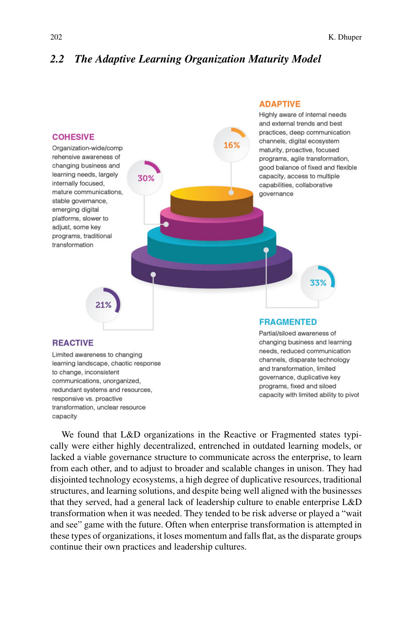# *2.2 The Adaptive Learning Organization Maturity Model*



We found that L&D organizations in the Reactive or Fragmented states typically were either highly decentralized, entrenched in outdated learning models, or lacked a viable governance structure to communicate across the enterprise, to learn from each other, and to adjust to broader and scalable changes in unison. They had disjointed technology ecosystems, a high degree of duplicative resources, traditional structures, and learning solutions, and despite being well aligned with the businesses that they served, had a general lack of leadership culture to enable enterprise L&D transformation when it was needed. They tended to be risk adverse or played a "wait and see" game with the future. Often when enterprise transformation is attempted in these types of organizations, it loses momentum and falls flat, as the disparate groups continue their own practices and leadership cultures.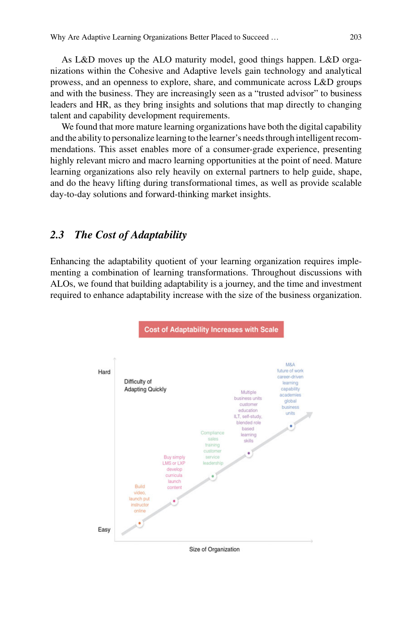As L&D moves up the ALO maturity model, good things happen. L&D organizations within the Cohesive and Adaptive levels gain technology and analytical prowess, and an openness to explore, share, and communicate across L&D groups and with the business. They are increasingly seen as a "trusted advisor" to business leaders and HR, as they bring insights and solutions that map directly to changing talent and capability development requirements.

We found that more mature learning organizations have both the digital capability and the ability to personalize learning to the learner's needs through intelligent recommendations. This asset enables more of a consumer-grade experience, presenting highly relevant micro and macro learning opportunities at the point of need. Mature learning organizations also rely heavily on external partners to help guide, shape, and do the heavy lifting during transformational times, as well as provide scalable day-to-day solutions and forward-thinking market insights.

# *2.3 The Cost of Adaptability*

Enhancing the adaptability quotient of your learning organization requires implementing a combination of learning transformations. Throughout discussions with ALOs, we found that building adaptability is a journey, and the time and investment required to enhance adaptability increase with the size of the business organization.



Size of Organization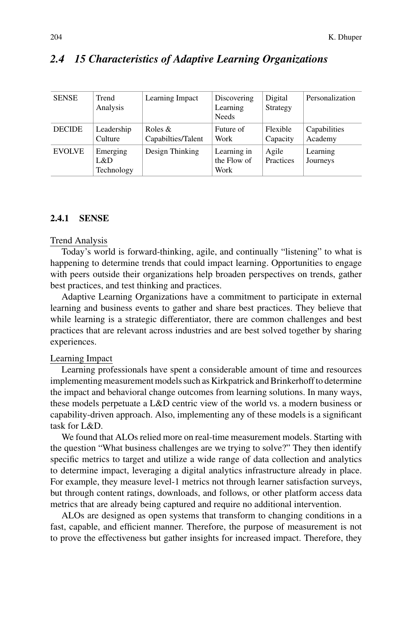| <b>SENSE</b>  | Trend<br>Analysis             | Learning Impact                  | Discovering<br>Learning<br><b>Needs</b> | Digital<br>Strategy  | Personalization         |
|---------------|-------------------------------|----------------------------------|-----------------------------------------|----------------------|-------------------------|
| <b>DECIDE</b> | Leadership<br>Culture         | Roles $\&$<br>Capabilties/Talent | Future of<br>Work                       | Flexible<br>Capacity | Capabilities<br>Academy |
| <b>EVOLVE</b> | Emerging<br>L&D<br>Technology | Design Thinking                  | Learning in<br>the Flow of<br>Work      | Agile<br>Practices   | Learning<br>Journeys    |

## *2.4 15 Characteristics of Adaptive Learning Organizations*

#### **2.4.1 SENSE**

#### Trend Analysis

Today's world is forward-thinking, agile, and continually "listening" to what is happening to determine trends that could impact learning. Opportunities to engage with peers outside their organizations help broaden perspectives on trends, gather best practices, and test thinking and practices.

Adaptive Learning Organizations have a commitment to participate in external learning and business events to gather and share best practices. They believe that while learning is a strategic differentiator, there are common challenges and best practices that are relevant across industries and are best solved together by sharing experiences.

#### Learning Impact

Learning professionals have spent a considerable amount of time and resources implementing measurement models such as Kirkpatrick and Brinkerhoff to determine the impact and behavioral change outcomes from learning solutions. In many ways, these models perpetuate a L&D centric view of the world vs. a modern business or capability-driven approach. Also, implementing any of these models is a significant task for L&D.

We found that ALOs relied more on real-time measurement models. Starting with the question "What business challenges are we trying to solve?" They then identify specific metrics to target and utilize a wide range of data collection and analytics to determine impact, leveraging a digital analytics infrastructure already in place. For example, they measure level-1 metrics not through learner satisfaction surveys, but through content ratings, downloads, and follows, or other platform access data metrics that are already being captured and require no additional intervention.

ALOs are designed as open systems that transform to changing conditions in a fast, capable, and efficient manner. Therefore, the purpose of measurement is not to prove the effectiveness but gather insights for increased impact. Therefore, they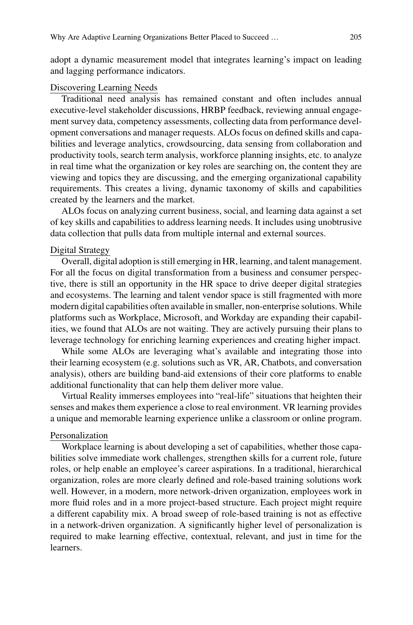adopt a dynamic measurement model that integrates learning's impact on leading and lagging performance indicators.

#### Discovering Learning Needs

Traditional need analysis has remained constant and often includes annual executive-level stakeholder discussions, HRBP feedback, reviewing annual engagement survey data, competency assessments, collecting data from performance development conversations and manager requests. ALOs focus on defined skills and capabilities and leverage analytics, crowdsourcing, data sensing from collaboration and productivity tools, search term analysis, workforce planning insights, etc. to analyze in real time what the organization or key roles are searching on, the content they are viewing and topics they are discussing, and the emerging organizational capability requirements. This creates a living, dynamic taxonomy of skills and capabilities created by the learners and the market.

ALOs focus on analyzing current business, social, and learning data against a set of key skills and capabilities to address learning needs. It includes using unobtrusive data collection that pulls data from multiple internal and external sources.

#### Digital Strategy

Overall, digital adoption is still emerging in HR, learning, and talent management. For all the focus on digital transformation from a business and consumer perspective, there is still an opportunity in the HR space to drive deeper digital strategies and ecosystems. The learning and talent vendor space is still fragmented with more modern digital capabilities often available in smaller, non-enterprise solutions. While platforms such as Workplace, Microsoft, and Workday are expanding their capabilities, we found that ALOs are not waiting. They are actively pursuing their plans to leverage technology for enriching learning experiences and creating higher impact.

While some ALOs are leveraging what's available and integrating those into their learning ecosystem (e.g. solutions such as VR, AR, Chatbots, and conversation analysis), others are building band-aid extensions of their core platforms to enable additional functionality that can help them deliver more value.

Virtual Reality immerses employees into "real-life" situations that heighten their senses and makes them experience a close to real environment. VR learning provides a unique and memorable learning experience unlike a classroom or online program.

#### Personalization

Workplace learning is about developing a set of capabilities, whether those capabilities solve immediate work challenges, strengthen skills for a current role, future roles, or help enable an employee's career aspirations. In a traditional, hierarchical organization, roles are more clearly defined and role-based training solutions work well. However, in a modern, more network-driven organization, employees work in more fluid roles and in a more project-based structure. Each project might require a different capability mix. A broad sweep of role-based training is not as effective in a network-driven organization. A significantly higher level of personalization is required to make learning effective, contextual, relevant, and just in time for the learners.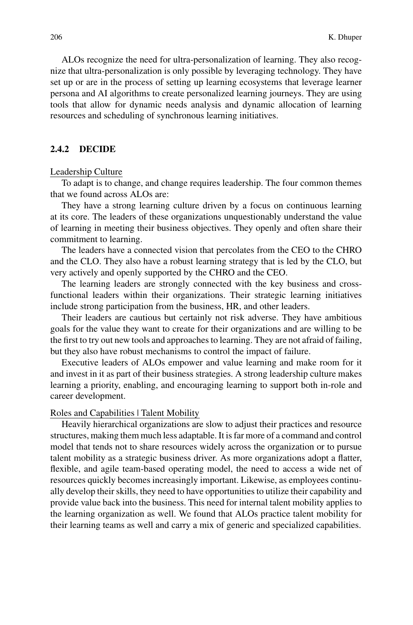ALOs recognize the need for ultra-personalization of learning. They also recognize that ultra-personalization is only possible by leveraging technology. They have set up or are in the process of setting up learning ecosystems that leverage learner persona and AI algorithms to create personalized learning journeys. They are using tools that allow for dynamic needs analysis and dynamic allocation of learning resources and scheduling of synchronous learning initiatives.

### **2.4.2 DECIDE**

#### Leadership Culture

To adapt is to change, and change requires leadership. The four common themes that we found across ALOs are:

They have a strong learning culture driven by a focus on continuous learning at its core. The leaders of these organizations unquestionably understand the value of learning in meeting their business objectives. They openly and often share their commitment to learning.

The leaders have a connected vision that percolates from the CEO to the CHRO and the CLO. They also have a robust learning strategy that is led by the CLO, but very actively and openly supported by the CHRO and the CEO.

The learning leaders are strongly connected with the key business and crossfunctional leaders within their organizations. Their strategic learning initiatives include strong participation from the business, HR, and other leaders.

Their leaders are cautious but certainly not risk adverse. They have ambitious goals for the value they want to create for their organizations and are willing to be the first to try out new tools and approaches to learning. They are not afraid of failing, but they also have robust mechanisms to control the impact of failure.

Executive leaders of ALOs empower and value learning and make room for it and invest in it as part of their business strategies. A strong leadership culture makes learning a priority, enabling, and encouraging learning to support both in-role and career development.

#### Roles and Capabilities | Talent Mobility

Heavily hierarchical organizations are slow to adjust their practices and resource structures, making them much less adaptable. It is far more of a command and control model that tends not to share resources widely across the organization or to pursue talent mobility as a strategic business driver. As more organizations adopt a flatter, flexible, and agile team-based operating model, the need to access a wide net of resources quickly becomes increasingly important. Likewise, as employees continually develop their skills, they need to have opportunities to utilize their capability and provide value back into the business. This need for internal talent mobility applies to the learning organization as well. We found that ALOs practice talent mobility for their learning teams as well and carry a mix of generic and specialized capabilities.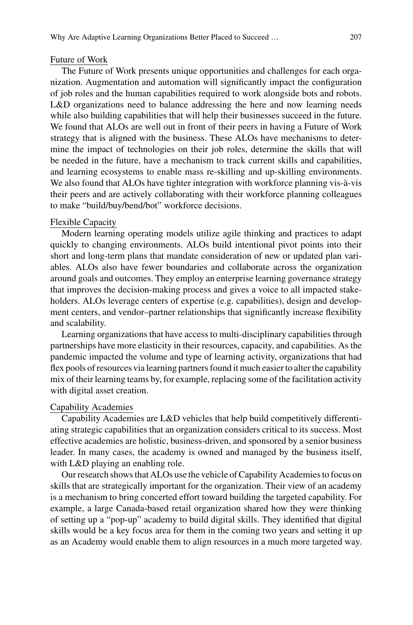#### Future of Work

The Future of Work presents unique opportunities and challenges for each organization. Augmentation and automation will significantly impact the configuration of job roles and the human capabilities required to work alongside bots and robots. L&D organizations need to balance addressing the here and now learning needs while also building capabilities that will help their businesses succeed in the future. We found that ALOs are well out in front of their peers in having a Future of Work strategy that is aligned with the business. These ALOs have mechanisms to determine the impact of technologies on their job roles, determine the skills that will be needed in the future, have a mechanism to track current skills and capabilities, and learning ecosystems to enable mass re-skilling and up-skilling environments. We also found that ALOs have tighter integration with workforce planning vis-à-vis their peers and are actively collaborating with their workforce planning colleagues to make "build/buy/bend/bot" workforce decisions.

#### Flexible Capacity

Modern learning operating models utilize agile thinking and practices to adapt quickly to changing environments. ALOs build intentional pivot points into their short and long-term plans that mandate consideration of new or updated plan variables. ALOs also have fewer boundaries and collaborate across the organization around goals and outcomes. They employ an enterprise learning governance strategy that improves the decision-making process and gives a voice to all impacted stakeholders. ALOs leverage centers of expertise (e.g. capabilities), design and development centers, and vendor–partner relationships that significantly increase flexibility and scalability.

Learning organizations that have access to multi-disciplinary capabilities through partnerships have more elasticity in their resources, capacity, and capabilities. As the pandemic impacted the volume and type of learning activity, organizations that had flex pools of resources via learning partners found it much easier to alter the capability mix of their learning teams by, for example, replacing some of the facilitation activity with digital asset creation.

#### Capability Academies

Capability Academies are L&D vehicles that help build competitively differentiating strategic capabilities that an organization considers critical to its success. Most effective academies are holistic, business-driven, and sponsored by a senior business leader. In many cases, the academy is owned and managed by the business itself, with L&D playing an enabling role.

Our research shows that ALOs use the vehicle of Capability Academies to focus on skills that are strategically important for the organization. Their view of an academy is a mechanism to bring concerted effort toward building the targeted capability. For example, a large Canada-based retail organization shared how they were thinking of setting up a "pop-up" academy to build digital skills. They identified that digital skills would be a key focus area for them in the coming two years and setting it up as an Academy would enable them to align resources in a much more targeted way.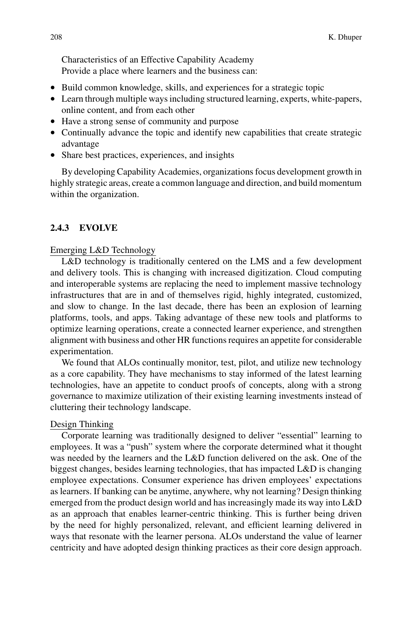Characteristics of an Effective Capability Academy Provide a place where learners and the business can:

- Build common knowledge, skills, and experiences for a strategic topic
- Learn through multiple ways including structured learning, experts, white-papers, online content, and from each other
- Have a strong sense of community and purpose
- Continually advance the topic and identify new capabilities that create strategic advantage
- Share best practices, experiences, and insights

By developing Capability Academies, organizations focus development growth in highly strategic areas, create a common language and direction, and build momentum within the organization.

### **2.4.3 EVOLVE**

#### Emerging L&D Technology

L&D technology is traditionally centered on the LMS and a few development and delivery tools. This is changing with increased digitization. Cloud computing and interoperable systems are replacing the need to implement massive technology infrastructures that are in and of themselves rigid, highly integrated, customized, and slow to change. In the last decade, there has been an explosion of learning platforms, tools, and apps. Taking advantage of these new tools and platforms to optimize learning operations, create a connected learner experience, and strengthen alignment with business and other HR functions requires an appetite for considerable experimentation.

We found that ALOs continually monitor, test, pilot, and utilize new technology as a core capability. They have mechanisms to stay informed of the latest learning technologies, have an appetite to conduct proofs of concepts, along with a strong governance to maximize utilization of their existing learning investments instead of cluttering their technology landscape.

### Design Thinking

Corporate learning was traditionally designed to deliver "essential" learning to employees. It was a "push" system where the corporate determined what it thought was needed by the learners and the L&D function delivered on the ask. One of the biggest changes, besides learning technologies, that has impacted L&D is changing employee expectations. Consumer experience has driven employees' expectations as learners. If banking can be anytime, anywhere, why not learning? Design thinking emerged from the product design world and has increasingly made its way into L&D as an approach that enables learner-centric thinking. This is further being driven by the need for highly personalized, relevant, and efficient learning delivered in ways that resonate with the learner persona. ALOs understand the value of learner centricity and have adopted design thinking practices as their core design approach.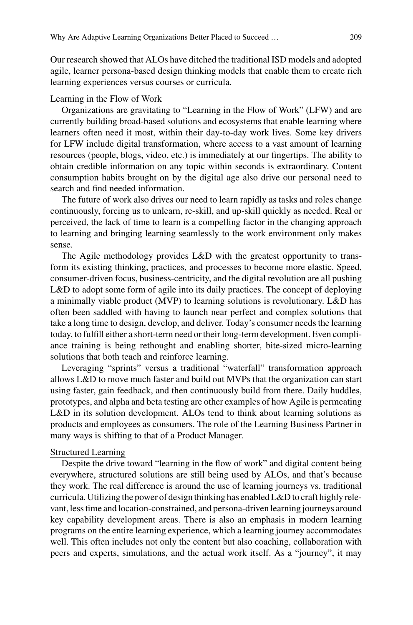Our research showed that ALOs have ditched the traditional ISD models and adopted agile, learner persona-based design thinking models that enable them to create rich learning experiences versus courses or curricula.

#### Learning in the Flow of Work

Organizations are gravitating to "Learning in the Flow of Work" (LFW) and are currently building broad-based solutions and ecosystems that enable learning where learners often need it most, within their day-to-day work lives. Some key drivers for LFW include digital transformation, where access to a vast amount of learning resources (people, blogs, video, etc.) is immediately at our fingertips. The ability to obtain credible information on any topic within seconds is extraordinary. Content consumption habits brought on by the digital age also drive our personal need to search and find needed information.

The future of work also drives our need to learn rapidly as tasks and roles change continuously, forcing us to unlearn, re-skill, and up-skill quickly as needed. Real or perceived, the lack of time to learn is a compelling factor in the changing approach to learning and bringing learning seamlessly to the work environment only makes sense.

The Agile methodology provides L&D with the greatest opportunity to transform its existing thinking, practices, and processes to become more elastic. Speed, consumer-driven focus, business-centricity, and the digital revolution are all pushing L&D to adopt some form of agile into its daily practices. The concept of deploying a minimally viable product (MVP) to learning solutions is revolutionary. L&D has often been saddled with having to launch near perfect and complex solutions that take a long time to design, develop, and deliver. Today's consumer needs the learning today, to fulfill either a short-term need or their long-term development. Even compliance training is being rethought and enabling shorter, bite-sized micro-learning solutions that both teach and reinforce learning.

Leveraging "sprints" versus a traditional "waterfall" transformation approach allows L&D to move much faster and build out MVPs that the organization can start using faster, gain feedback, and then continuously build from there. Daily huddles, prototypes, and alpha and beta testing are other examples of how Agile is permeating L&D in its solution development. ALOs tend to think about learning solutions as products and employees as consumers. The role of the Learning Business Partner in many ways is shifting to that of a Product Manager.

#### Structured Learning

Despite the drive toward "learning in the flow of work" and digital content being everywhere, structured solutions are still being used by ALOs, and that's because they work. The real difference is around the use of learning journeys vs. traditional curricula. Utilizing the power of design thinking has enabled L&D to craft highly relevant, less time and location-constrained, and persona-driven learning journeys around key capability development areas. There is also an emphasis in modern learning programs on the entire learning experience, which a learning journey accommodates well. This often includes not only the content but also coaching, collaboration with peers and experts, simulations, and the actual work itself. As a "journey", it may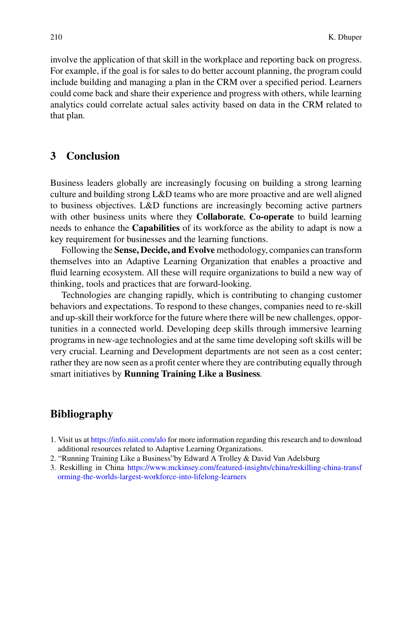involve the application of that skill in the workplace and reporting back on progress. For example, if the goal is for sales to do better account planning, the program could include building and managing a plan in the CRM over a specified period. Learners could come back and share their experience and progress with others, while learning analytics could correlate actual sales activity based on data in the CRM related to that plan.

# **3 Conclusion**

Business leaders globally are increasingly focusing on building a strong learning culture and building strong L&D teams who are more proactive and are well aligned to business objectives. L&D functions are increasingly becoming active partners with other business units where they **Collaborate**, **Co-operate** to build learning needs to enhance the **Capabilities** of its workforce as the ability to adapt is now a key requirement for businesses and the learning functions.

Following the **Sense, Decide, and Evolve** methodology, companies can transform themselves into an Adaptive Learning Organization that enables a proactive and fluid learning ecosystem. All these will require organizations to build a new way of thinking, tools and practices that are forward-looking.

Technologies are changing rapidly, which is contributing to changing customer behaviors and expectations. To respond to these changes, companies need to re-skill and up-skill their workforce for the future where there will be new challenges, opportunities in a connected world. Developing deep skills through immersive learning programs in new-age technologies and at the same time developing soft skills will be very crucial. Learning and Development departments are not seen as a cost center; rather they are now seen as a profit center where they are contributing equally through smart initiatives by **Running Training Like a Business**.

# **Bibliography**

- 1. Visit us at <https://info.niit.com/alo> for more information regarding this research and to download additional resources related to Adaptive Learning Organizations.
- 2. "Running Training Like a Business"by Edward A Trolley & David Van Adelsburg
- 3. Reskilling in China [https://www.mckinsey.com/featured-insights/china/reskilling-china-transf](https://www.mckinsey.com/featured-insights/china/reskilling-china-transforming-the-worlds-largest-workforce-into-lifelong-learners) orming-the-worlds-largest-workforce-into-lifelong-learners